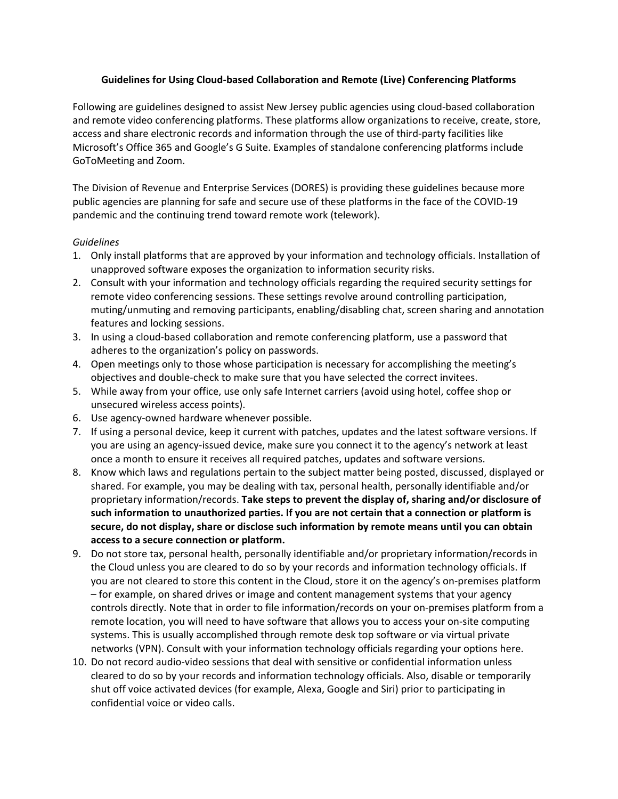## **Guidelines for Using Cloud-based Collaboration and Remote (Live) Conferencing Platforms**

Following are guidelines designed to assist New Jersey public agencies using cloud-based collaboration and remote video conferencing platforms. These platforms allow organizations to receive, create, store, access and share electronic records and information through the use of third-party facilities like Microsoft's Office 365 and Google's G Suite. Examples of standalone conferencing platforms include GoToMeeting and Zoom.

The Division of Revenue and Enterprise Services (DORES) is providing these guidelines because more public agencies are planning for safe and secure use of these platforms in the face of the COVID-19 pandemic and the continuing trend toward remote work (telework).

## *Guidelines*

- 1. Only install platforms that are approved by your information and technology officials. Installation of unapproved software exposes the organization to information security risks.
- 2. Consult with your information and technology officials regarding the required security settings for remote video conferencing sessions. These settings revolve around controlling participation, muting/unmuting and removing participants, enabling/disabling chat, screen sharing and annotation features and locking sessions.
- 3. In using a cloud-based collaboration and remote conferencing platform, use a password that adheres to the organization's policy on passwords.
- 4. Open meetings only to those whose participation is necessary for accomplishing the meeting's objectives and double-check to make sure that you have selected the correct invitees.
- 5. While away from your office, use only safe Internet carriers (avoid using hotel, coffee shop or unsecured wireless access points).
- 6. Use agency-owned hardware whenever possible.
- 7. If using a personal device, keep it current with patches, updates and the latest software versions. If you are using an agency-issued device, make sure you connect it to the agency's network at least once a month to ensure it receives all required patches, updates and software versions.
- 8. Know which laws and regulations pertain to the subject matter being posted, discussed, displayed or shared. For example, you may be dealing with tax, personal health, personally identifiable and/or proprietary information/records. **Take steps to prevent the display of, sharing and/or disclosure of such information to unauthorized parties. If you are not certain that a connection or platform is secure, do not display, share or disclose such information by remote means until you can obtain access to a secure connection or platform.**
- 9. Do not store tax, personal health, personally identifiable and/or proprietary information/records in the Cloud unless you are cleared to do so by your records and information technology officials. If you are not cleared to store this content in the Cloud, store it on the agency's on-premises platform – for example, on shared drives or image and content management systems that your agency controls directly. Note that in order to file information/records on your on-premises platform from a remote location, you will need to have software that allows you to access your on-site computing systems. This is usually accomplished through remote desk top software or via virtual private networks (VPN). Consult with your information technology officials regarding your options here.
- 10. Do not record audio-video sessions that deal with sensitive or confidential information unless cleared to do so by your records and information technology officials. Also, disable or temporarily shut off voice activated devices (for example, Alexa, Google and Siri) prior to participating in confidential voice or video calls.